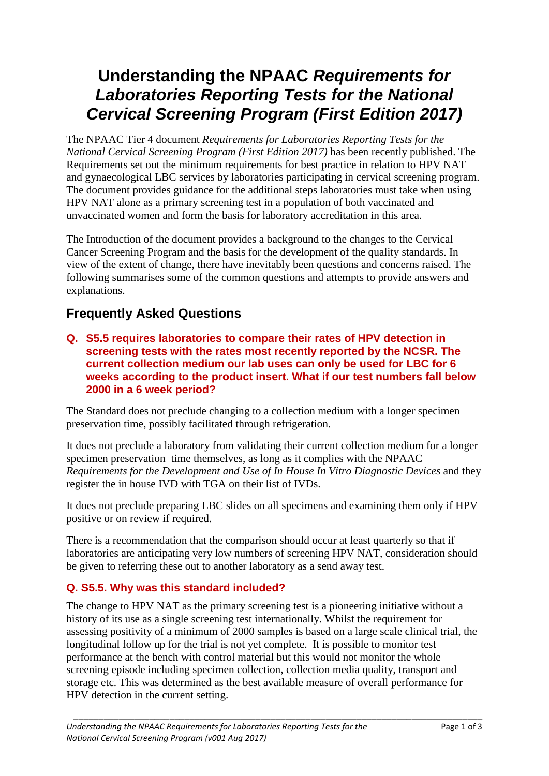# **Understanding the NPAAC** *Requirements for Laboratories Reporting Tests for the National Cervical Screening Program (First Edition 2017)*

The NPAAC Tier 4 document *Requirements for Laboratories Reporting Tests for the National Cervical Screening Program (First Edition 2017)* has been recently published. The Requirements set out the minimum requirements for best practice in relation to HPV NAT and gynaecological LBC services by laboratories participating in cervical screening program. The document provides guidance for the additional steps laboratories must take when using HPV NAT alone as a primary screening test in a population of both vaccinated and unvaccinated women and form the basis for laboratory accreditation in this area.

The Introduction of the document provides a background to the changes to the Cervical Cancer Screening Program and the basis for the development of the quality standards. In view of the extent of change, there have inevitably been questions and concerns raised. The following summarises some of the common questions and attempts to provide answers and explanations.

# **Frequently Asked Questions**

**Q. S5.5 requires laboratories to compare their rates of HPV detection in screening tests with the rates most recently reported by the NCSR. The current collection medium our lab uses can only be used for LBC for 6 weeks according to the product insert. What if our test numbers fall below 2000 in a 6 week period?**

The Standard does not preclude changing to a collection medium with a longer specimen preservation time, possibly facilitated through refrigeration.

It does not preclude a laboratory from validating their current collection medium for a longer specimen preservation time themselves, as long as it complies with the NPAAC *Requirements for the Development and Use of In House In Vitro Diagnostic Devices* and they register the in house IVD with TGA on their list of IVDs.

It does not preclude preparing LBC slides on all specimens and examining them only if HPV positive or on review if required.

There is a recommendation that the comparison should occur at least quarterly so that if laboratories are anticipating very low numbers of screening HPV NAT, consideration should be given to referring these out to another laboratory as a send away test.

# **Q. S5.5. Why was this standard included?**

The change to HPV NAT as the primary screening test is a pioneering initiative without a history of its use as a single screening test internationally. Whilst the requirement for assessing positivity of a minimum of 2000 samples is based on a large scale clinical trial, the longitudinal follow up for the trial is not yet complete. It is possible to monitor test performance at the bench with control material but this would not monitor the whole screening episode including specimen collection, collection media quality, transport and storage etc. This was determined as the best available measure of overall performance for HPV detection in the current setting.

\_\_\_\_\_\_\_\_\_\_\_\_\_\_\_\_\_\_\_\_\_\_\_\_\_\_\_\_\_\_\_\_\_\_\_\_\_\_\_\_\_\_\_\_\_\_\_\_\_\_\_\_\_\_\_\_\_\_\_\_\_\_\_\_\_\_\_\_\_\_\_\_\_\_\_\_\_\_\_\_\_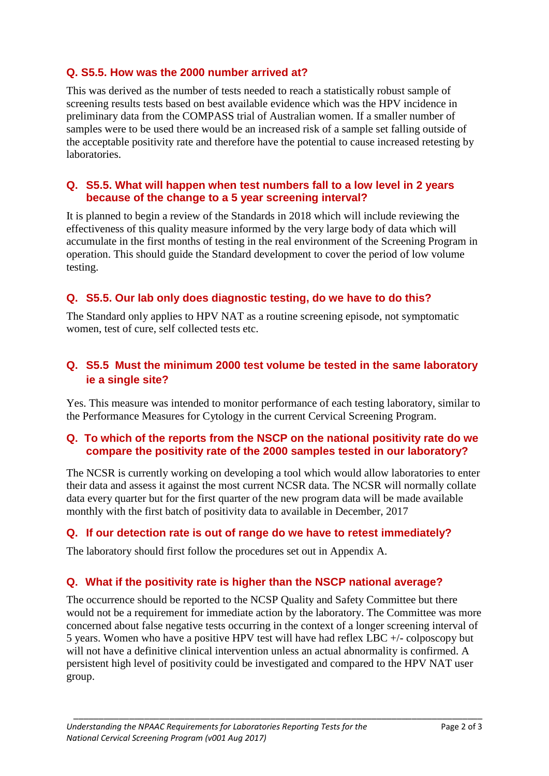### **Q. S5.5. How was the 2000 number arrived at?**

This was derived as the number of tests needed to reach a statistically robust sample of screening results tests based on best available evidence which was the HPV incidence in preliminary data from the COMPASS trial of Australian women. If a smaller number of samples were to be used there would be an increased risk of a sample set falling outside of the acceptable positivity rate and therefore have the potential to cause increased retesting by laboratories.

#### **Q. S5.5. What will happen when test numbers fall to a low level in 2 years because of the change to a 5 year screening interval?**

It is planned to begin a review of the Standards in 2018 which will include reviewing the effectiveness of this quality measure informed by the very large body of data which will accumulate in the first months of testing in the real environment of the Screening Program in operation. This should guide the Standard development to cover the period of low volume testing.

# **Q. S5.5. Our lab only does diagnostic testing, do we have to do this?**

The Standard only applies to HPV NAT as a routine screening episode, not symptomatic women, test of cure, self collected tests etc.

# **Q. S5.5 Must the minimum 2000 test volume be tested in the same laboratory ie a single site?**

Yes. This measure was intended to monitor performance of each testing laboratory, similar to the Performance Measures for Cytology in the current Cervical Screening Program.

#### **Q. To which of the reports from the NSCP on the national positivity rate do we compare the positivity rate of the 2000 samples tested in our laboratory?**

The NCSR is currently working on developing a tool which would allow laboratories to enter their data and assess it against the most current NCSR data. The NCSR will normally collate data every quarter but for the first quarter of the new program data will be made available monthly with the first batch of positivity data to available in December, 2017

#### **Q. If our detection rate is out of range do we have to retest immediately?**

The laboratory should first follow the procedures set out in Appendix A.

# **Q. What if the positivity rate is higher than the NSCP national average?**

The occurrence should be reported to the NCSP Quality and Safety Committee but there would not be a requirement for immediate action by the laboratory. The Committee was more concerned about false negative tests occurring in the context of a longer screening interval of 5 years. Women who have a positive HPV test will have had reflex LBC +/- colposcopy but will not have a definitive clinical intervention unless an actual abnormality is confirmed. A persistent high level of positivity could be investigated and compared to the HPV NAT user group.

\_\_\_\_\_\_\_\_\_\_\_\_\_\_\_\_\_\_\_\_\_\_\_\_\_\_\_\_\_\_\_\_\_\_\_\_\_\_\_\_\_\_\_\_\_\_\_\_\_\_\_\_\_\_\_\_\_\_\_\_\_\_\_\_\_\_\_\_\_\_\_\_\_\_\_\_\_\_\_\_\_